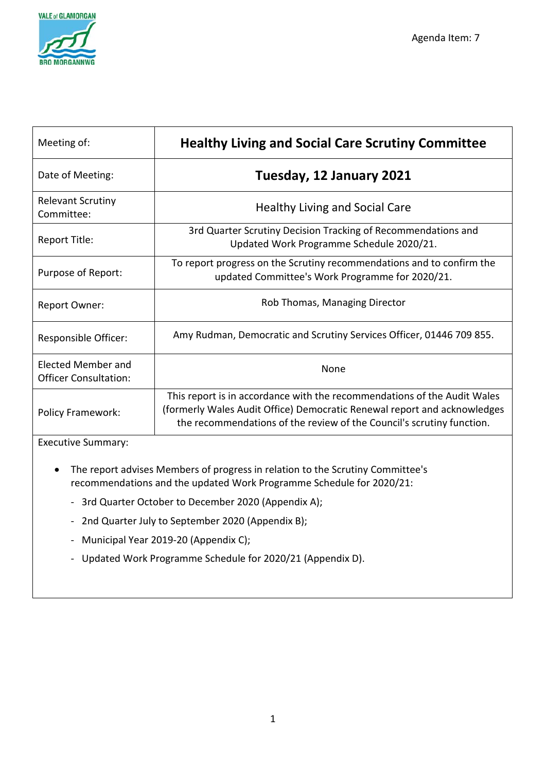

| Meeting of:                                               | <b>Healthy Living and Social Care Scrutiny Committee</b>                                                                                                                                                                      |
|-----------------------------------------------------------|-------------------------------------------------------------------------------------------------------------------------------------------------------------------------------------------------------------------------------|
| Date of Meeting:                                          | Tuesday, 12 January 2021                                                                                                                                                                                                      |
| <b>Relevant Scrutiny</b><br>Committee:                    | <b>Healthy Living and Social Care</b>                                                                                                                                                                                         |
| Report Title:                                             | 3rd Quarter Scrutiny Decision Tracking of Recommendations and<br>Updated Work Programme Schedule 2020/21.                                                                                                                     |
| Purpose of Report:                                        | To report progress on the Scrutiny recommendations and to confirm the<br>updated Committee's Work Programme for 2020/21.                                                                                                      |
| Report Owner:                                             | Rob Thomas, Managing Director                                                                                                                                                                                                 |
| Responsible Officer:                                      | Amy Rudman, Democratic and Scrutiny Services Officer, 01446 709 855.                                                                                                                                                          |
| <b>Elected Member and</b><br><b>Officer Consultation:</b> | None                                                                                                                                                                                                                          |
| <b>Policy Framework:</b>                                  | This report is in accordance with the recommendations of the Audit Wales<br>(formerly Wales Audit Office) Democratic Renewal report and acknowledges<br>the recommendations of the review of the Council's scrutiny function. |

Executive Summary:

- The report advises Members of progress in relation to the Scrutiny Committee's recommendations and the updated Work Programme Schedule for 2020/21:
	- 3rd Quarter October to December 2020 (Appendix A);
	- 2nd Quarter July to September 2020 (Appendix B);
	- Municipal Year 2019-20 (Appendix C);
	- Updated Work Programme Schedule for 2020/21 (Appendix D).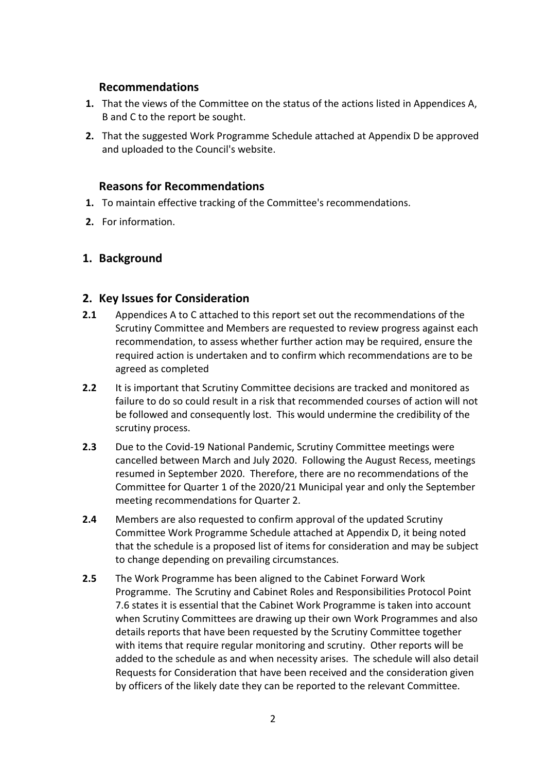### **Recommendations**

- **1.** That the views of the Committee on the status of the actions listed in Appendices A, B and C to the report be sought.
- **2.** That the suggested Work Programme Schedule attached at Appendix D be approved and uploaded to the Council's website.

## **Reasons for Recommendations**

- **1.** To maintain effective tracking of the Committee's recommendations.
- **2.** For information.

### **1. Background**

#### **2. Key Issues for Consideration**

- **2.1** Appendices A to C attached to this report set out the recommendations of the Scrutiny Committee and Members are requested to review progress against each recommendation, to assess whether further action may be required, ensure the required action is undertaken and to confirm which recommendations are to be agreed as completed
- **2.2** It is important that Scrutiny Committee decisions are tracked and monitored as failure to do so could result in a risk that recommended courses of action will not be followed and consequently lost. This would undermine the credibility of the scrutiny process.
- **2.3** Due to the Covid-19 National Pandemic, Scrutiny Committee meetings were cancelled between March and July 2020. Following the August Recess, meetings resumed in September 2020. Therefore, there are no recommendations of the Committee for Quarter 1 of the 2020/21 Municipal year and only the September meeting recommendations for Quarter 2.
- **2.4** Members are also requested to confirm approval of the updated Scrutiny Committee Work Programme Schedule attached at Appendix D, it being noted that the schedule is a proposed list of items for consideration and may be subject to change depending on prevailing circumstances.
- **2.5** The Work Programme has been aligned to the Cabinet Forward Work Programme. The Scrutiny and Cabinet Roles and Responsibilities Protocol Point 7.6 states it is essential that the Cabinet Work Programme is taken into account when Scrutiny Committees are drawing up their own Work Programmes and also details reports that have been requested by the Scrutiny Committee together with items that require regular monitoring and scrutiny. Other reports will be added to the schedule as and when necessity arises. The schedule will also detail Requests for Consideration that have been received and the consideration given by officers of the likely date they can be reported to the relevant Committee.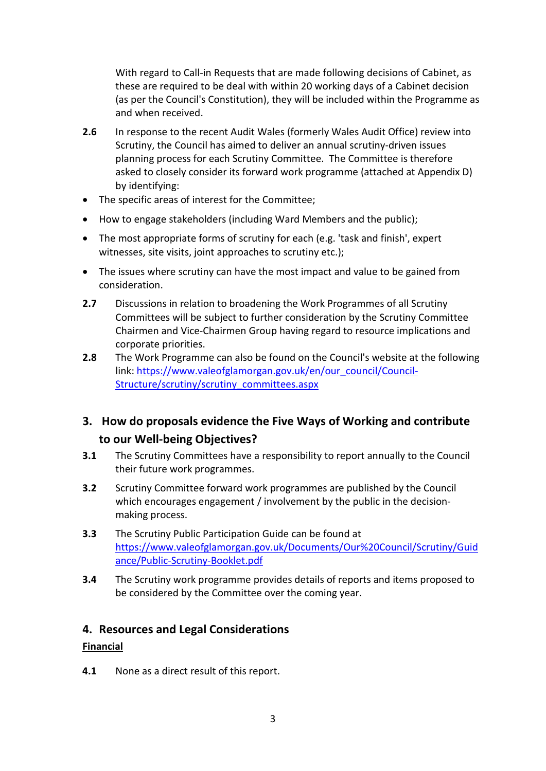With regard to Call-in Requests that are made following decisions of Cabinet, as these are required to be deal with within 20 working days of a Cabinet decision (as per the Council's Constitution), they will be included within the Programme as and when received.

- **2.6** In response to the recent Audit Wales (formerly Wales Audit Office) review into Scrutiny, the Council has aimed to deliver an annual scrutiny-driven issues planning process for each Scrutiny Committee. The Committee is therefore asked to closely consider its forward work programme (attached at Appendix D) by identifying:
- The specific areas of interest for the Committee;
- How to engage stakeholders (including Ward Members and the public);
- The most appropriate forms of scrutiny for each (e.g. 'task and finish', expert witnesses, site visits, joint approaches to scrutiny etc.);
- The issues where scrutiny can have the most impact and value to be gained from consideration.
- **2.7** Discussions in relation to broadening the Work Programmes of all Scrutiny Committees will be subject to further consideration by the Scrutiny Committee Chairmen and Vice-Chairmen Group having regard to resource implications and corporate priorities.
- **2.8** The Work Programme can also be found on the Council's website at the following link: [https://www.valeofglamorgan.gov.uk/en/our\\_council/Council-](https://www.valeofglamorgan.gov.uk/en/our_council/Council-Structure/scrutiny/scrutiny_committees.aspx)[Structure/scrutiny/scrutiny\\_committees.aspx](https://www.valeofglamorgan.gov.uk/en/our_council/Council-Structure/scrutiny/scrutiny_committees.aspx)

## **3. How do proposals evidence the Five Ways of Working and contribute to our Well-being Objectives?**

- **3.1** The Scrutiny Committees have a responsibility to report annually to the Council their future work programmes.
- **3.2** Scrutiny Committee forward work programmes are published by the Council which encourages engagement / involvement by the public in the decisionmaking process.
- **3.3** The Scrutiny Public Participation Guide can be found at [https://www.valeofglamorgan.gov.uk/Documents/Our%20Council/Scrutiny/Guid](https://www.valeofglamorgan.gov.uk/Documents/Our%20Council/Scrutiny/Guidance/Public-Scrutiny-Booklet.pdf) [ance/Public-Scrutiny-Booklet.pdf](https://www.valeofglamorgan.gov.uk/Documents/Our%20Council/Scrutiny/Guidance/Public-Scrutiny-Booklet.pdf)
- **3.4** The Scrutiny work programme provides details of reports and items proposed to be considered by the Committee over the coming year.

#### **4. Resources and Legal Considerations**

#### **Financial**

**4.1** None as a direct result of this report.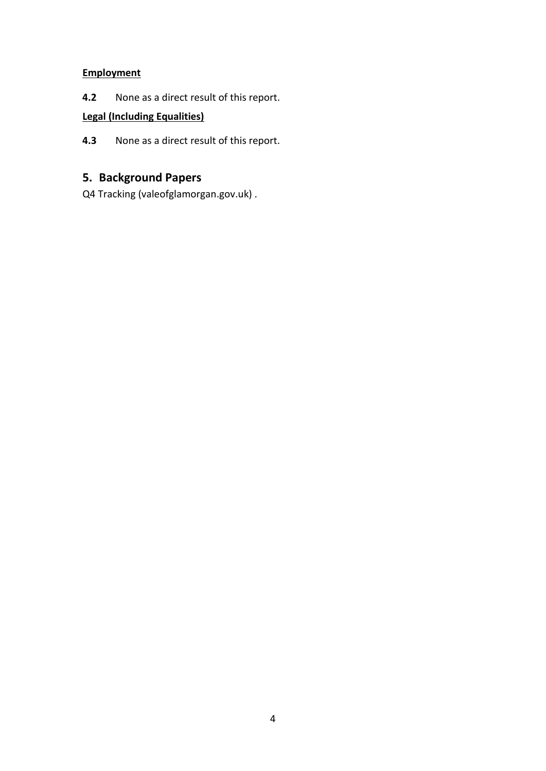## **Employment**

**4.2** None as a direct result of this report.

## **Legal (Including Equalities)**

**4.3** None as a direct result of this report.

## **5. Background Papers**

[Q4 Tracking \(valeofglamorgan.gov.uk\)](https://www.valeofglamorgan.gov.uk/Documents/_Committee%20Reports/Scrutiny-HLSC/2020/20-09-15/Q4-Tracking.pdf) .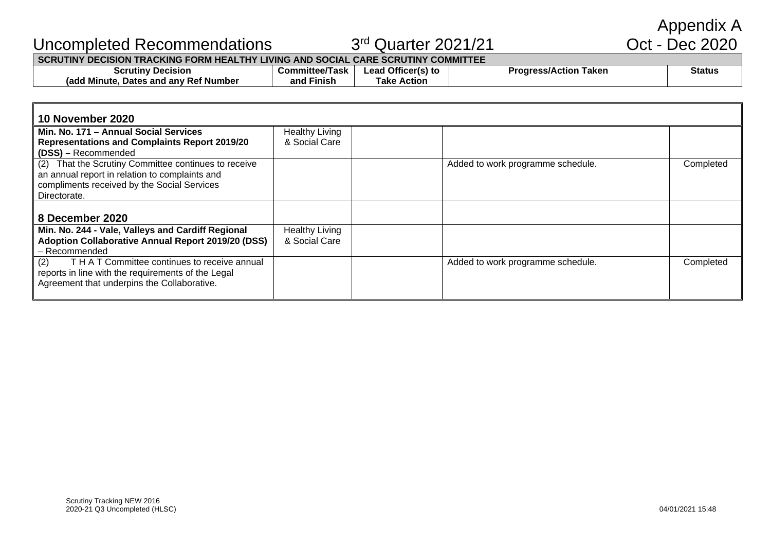Appendix A<br>Oct - Dec 2020

## Uncompleted Recommendations 3rd Quarter 2021/21 Oct - Dec 2020

#### **SCRUTINY DECISION TRACKING FORM HEALTHY LIVING AND SOCIAL CARE SCRUTINY COMMITTEE**

| <b>crutin</b> ٽ<br><b>Decision</b>                      | Task<br>Committee" | ' Officer(s) to<br>ead | Taken<br><b>Progress/Action</b> | <b>Status</b> |
|---------------------------------------------------------|--------------------|------------------------|---------------------------------|---------------|
| <b>∶Ref Number</b><br>(adc<br>Dates and any '<br>Minute | Finish<br>and      | Action<br>⊺ake         |                                 |               |
|                                                         |                    |                        |                                 |               |

| 10 November 2020                                          |                       |                                   |           |
|-----------------------------------------------------------|-----------------------|-----------------------------------|-----------|
| l Min. No. 171 – Annual Social Services                   | <b>Healthy Living</b> |                                   |           |
| Representations and Complaints Report 2019/20             | & Social Care         |                                   |           |
| (DSS) - Recommended                                       |                       |                                   |           |
| (2) That the Scrutiny Committee continues to receive      |                       | Added to work programme schedule. | Completed |
| an annual report in relation to complaints and            |                       |                                   |           |
| compliments received by the Social Services               |                       |                                   |           |
| Directorate.                                              |                       |                                   |           |
|                                                           |                       |                                   |           |
| l 8 December 2020                                         |                       |                                   |           |
| Min. No. 244 - Vale, Valleys and Cardiff Regional         | <b>Healthy Living</b> |                                   |           |
| <b>Adoption Collaborative Annual Report 2019/20 (DSS)</b> | & Social Care         |                                   |           |
| l - Recommended                                           |                       |                                   |           |
| T H A T Committee continues to receive annual<br>(2)      |                       | Added to work programme schedule. | Completed |
| reports in line with the requirements of the Legal        |                       |                                   |           |
| Agreement that underpins the Collaborative.               |                       |                                   |           |
|                                                           |                       |                                   |           |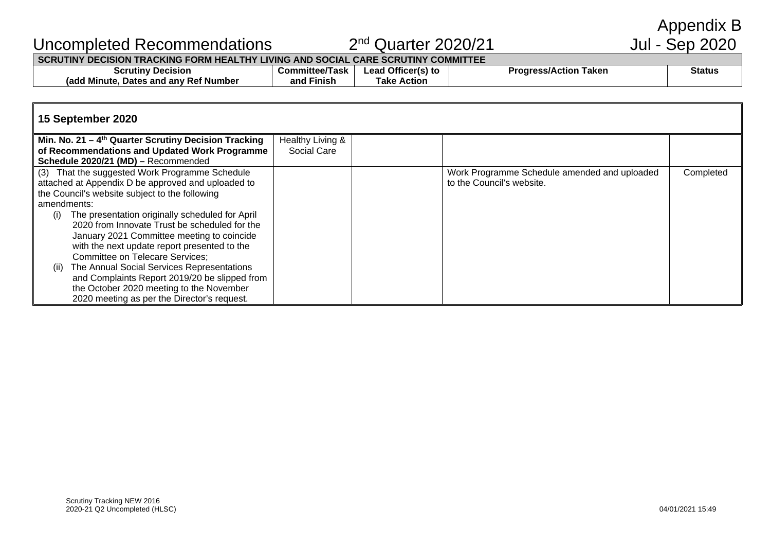Appendix B<br>Jul - Sep 2020

## Uncompleted Recommendations 2nd Quarter 2020/21 Jul - Sep 2020

#### **SCRUTINY DECISION TRACKING FORM HEALTHY LIVING AND SOCIAL CARE SCRUTINY COMMITTEE**

| Decision<br>∵crutinv∶                                     | /lask<br>Committee | ' Officer(s) to<br>.eac | Taken<br>.<br><b>ss/Action</b> | <b>Status</b> |
|-----------------------------------------------------------|--------------------|-------------------------|--------------------------------|---------------|
| Number<br>. Ret 1<br>(add<br>and anv<br>∵Mınute.<br>Dates | .<br>Finish<br>and | Action<br>ake           |                                |               |

#### **15 September 2020**

| Min. No. 21 – $4th$ Quarter Scrutiny Decision Tracking | Healthy Living & |                                              |           |
|--------------------------------------------------------|------------------|----------------------------------------------|-----------|
| of Recommendations and Updated Work Programme          | Social Care      |                                              |           |
| Schedule 2020/21 (MD) - Recommended                    |                  |                                              |           |
| (3) That the suggested Work Programme Schedule         |                  | Work Programme Schedule amended and uploaded | Completed |
| attached at Appendix D be approved and uploaded to     |                  | to the Council's website.                    |           |
| the Council's website subject to the following         |                  |                                              |           |
| amendments:                                            |                  |                                              |           |
| The presentation originally scheduled for April<br>(i) |                  |                                              |           |
| 2020 from Innovate Trust be scheduled for the          |                  |                                              |           |
| January 2021 Committee meeting to coincide             |                  |                                              |           |
| with the next update report presented to the           |                  |                                              |           |
| <b>Committee on Telecare Services;</b>                 |                  |                                              |           |
| The Annual Social Services Representations<br>(ii)     |                  |                                              |           |
| and Complaints Report 2019/20 be slipped from          |                  |                                              |           |
| the October 2020 meeting to the November               |                  |                                              |           |
| 2020 meeting as per the Director's request.            |                  |                                              |           |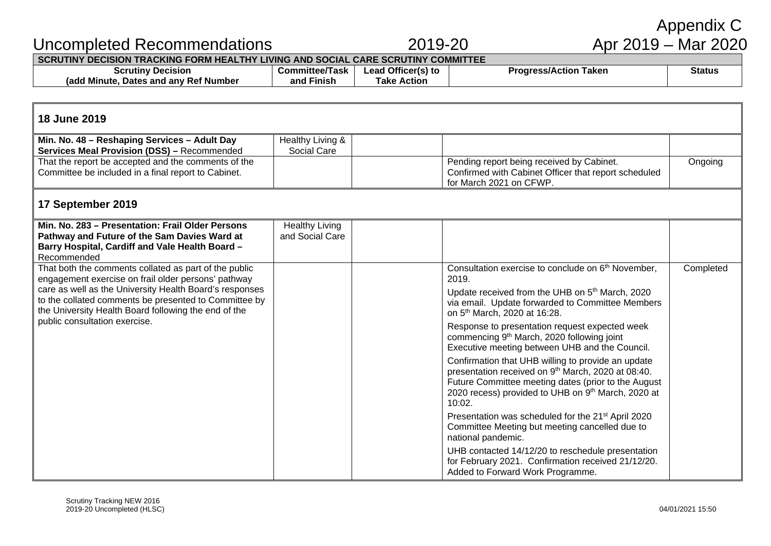|                                                                                                                                                                                                                                                                                          |                                          |                                          |                                                                                                                                                                                                                                             | Appendix C          |  |
|------------------------------------------------------------------------------------------------------------------------------------------------------------------------------------------------------------------------------------------------------------------------------------------|------------------------------------------|------------------------------------------|---------------------------------------------------------------------------------------------------------------------------------------------------------------------------------------------------------------------------------------------|---------------------|--|
| Uncompleted Recommendations                                                                                                                                                                                                                                                              |                                          | 2019-20                                  |                                                                                                                                                                                                                                             | Apr 2019 – Mar 2020 |  |
| SCRUTINY DECISION TRACKING FORM HEALTHY LIVING AND SOCIAL CARE SCRUTINY COMMITTEE<br><b>Scrutiny Decision</b><br>(add Minute, Dates and any Ref Number                                                                                                                                   | <b>Committee/Task</b><br>and Finish      | Lead Officer(s) to<br><b>Take Action</b> | <b>Progress/Action Taken</b>                                                                                                                                                                                                                | <b>Status</b>       |  |
| 18 June 2019                                                                                                                                                                                                                                                                             |                                          |                                          |                                                                                                                                                                                                                                             |                     |  |
| Min. No. 48 - Reshaping Services - Adult Day<br><b>Services Meal Provision (DSS) - Recommended</b>                                                                                                                                                                                       | Healthy Living &<br>Social Care          |                                          |                                                                                                                                                                                                                                             |                     |  |
| That the report be accepted and the comments of the<br>Committee be included in a final report to Cabinet.                                                                                                                                                                               |                                          |                                          | Pending report being received by Cabinet.<br>Confirmed with Cabinet Officer that report scheduled<br>for March 2021 on CFWP.                                                                                                                | Ongoing             |  |
| 17 September 2019                                                                                                                                                                                                                                                                        |                                          |                                          |                                                                                                                                                                                                                                             |                     |  |
| Min. No. 283 - Presentation: Frail Older Persons<br>Pathway and Future of the Sam Davies Ward at<br>Barry Hospital, Cardiff and Vale Health Board -<br>Recommended                                                                                                                       | <b>Healthy Living</b><br>and Social Care |                                          |                                                                                                                                                                                                                                             |                     |  |
| That both the comments collated as part of the public<br>engagement exercise on frail older persons' pathway<br>care as well as the University Health Board's responses<br>to the collated comments be presented to Committee by<br>the University Health Board following the end of the |                                          |                                          | Consultation exercise to conclude on 6 <sup>th</sup> November,<br>2019.<br>Update received from the UHB on 5 <sup>th</sup> March, 2020<br>via email. Update forwarded to Committee Members<br>on 5 <sup>th</sup> March, 2020 at 16:28.      | Completed           |  |
| public consultation exercise.                                                                                                                                                                                                                                                            |                                          |                                          | Response to presentation request expected week<br>commencing 9 <sup>th</sup> March, 2020 following joint<br>Executive meeting between UHB and the Council.                                                                                  |                     |  |
|                                                                                                                                                                                                                                                                                          |                                          |                                          | Confirmation that UHB willing to provide an update<br>presentation received on 9 <sup>th</sup> March, 2020 at 08:40.<br>Future Committee meeting dates (prior to the August<br>2020 recess) provided to UHB on 9th March, 2020 at<br>10:02. |                     |  |
|                                                                                                                                                                                                                                                                                          |                                          |                                          | Presentation was scheduled for the 21 <sup>st</sup> April 2020<br>Committee Meeting but meeting cancelled due to<br>national pandemic.                                                                                                      |                     |  |
|                                                                                                                                                                                                                                                                                          |                                          |                                          | UHB contacted 14/12/20 to reschedule presentation<br>for February 2021. Confirmation received 21/12/20.<br>Added to Forward Work Programme.                                                                                                 |                     |  |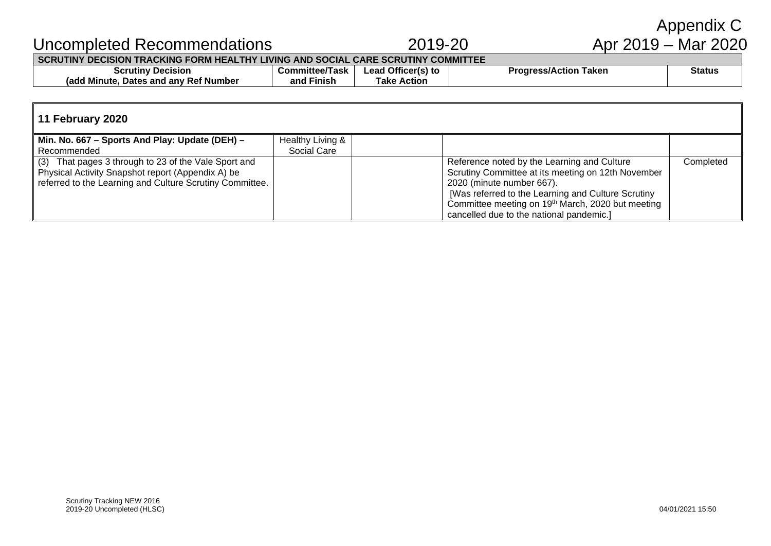| Uncompleted Recommendations                                                       |                       | 2019-20            |                              | Apr 2019 – Mar 2020 |  |  |  |  |
|-----------------------------------------------------------------------------------|-----------------------|--------------------|------------------------------|---------------------|--|--|--|--|
| SCRUTINY DECISION TRACKING FORM HEALTHY LIVING AND SOCIAL CARE SCRUTINY COMMITTEE |                       |                    |                              |                     |  |  |  |  |
| <b>Scrutiny Decision</b>                                                          | <b>Committee/Task</b> | Lead Officer(s) to | <b>Progress/Action Taken</b> | <b>Status</b>       |  |  |  |  |
| (add Minute, Dates and any Ref Number)                                            | and Finish            | <b>Take Action</b> |                              |                     |  |  |  |  |

#### **11 February 2020 Min. No. 667 – Sports And Play: Update (DEH) –** Recommended Healthy Living & Social Care (3) That pages 3 through to 23 of the Vale Sport and Physical Activity Snapshot report (Appendix A) be referred to the Learning and Culture Scrutiny Committee. Reference noted by the Learning and Culture Scrutiny Committee at its meeting on 12th November 2020 (minute number 667). [Was referred to the Learning and Culture Scrutiny Committee meeting on 19<sup>th</sup> March, 2020 but meeting cancelled due to the national pandemic.] **Completed**

Annendix C.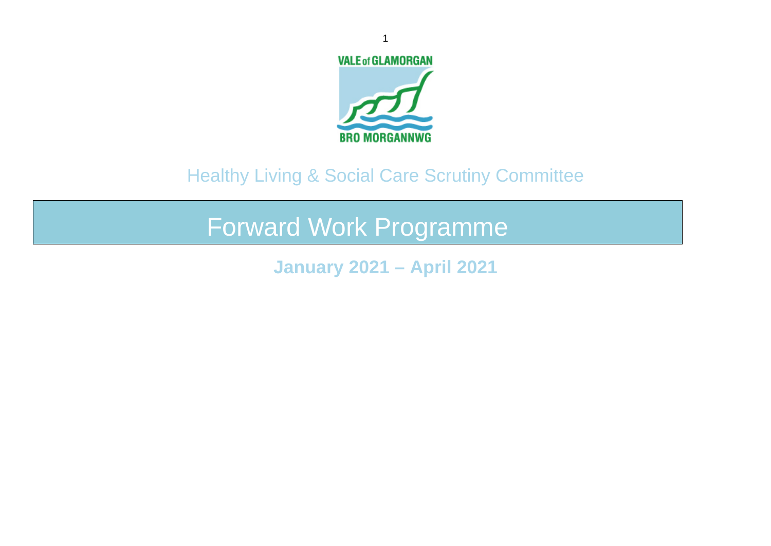

# Healthy Living & Social Care Scrutiny Committee

Forward Work Programme

**January 2021 – April 2021**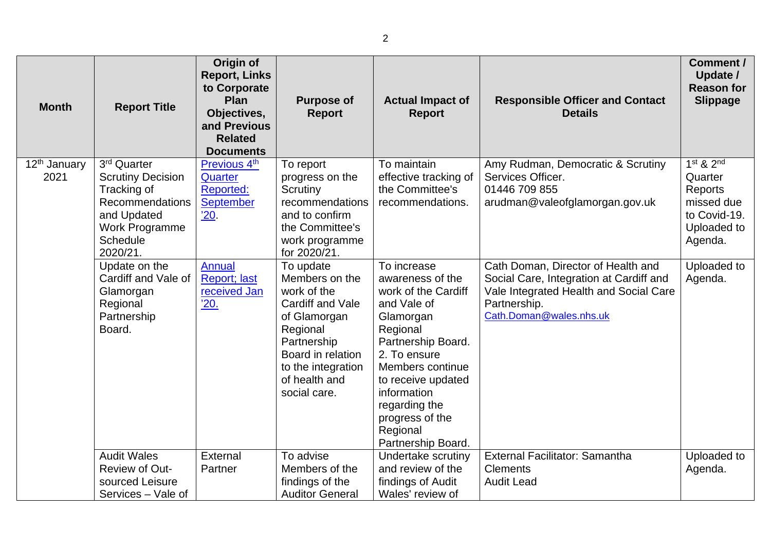| <b>Month</b>                     | <b>Report Title</b>                                                                                                                                          | Origin of<br><b>Report, Links</b><br>to Corporate<br>Plan<br>Objectives,<br>and Previous<br><b>Related</b><br><b>Documents</b> | <b>Purpose of</b><br><b>Report</b>                                                                                                                                                    | <b>Actual Impact of</b><br><b>Report</b>                                                                                                                                                                                                                            | <b>Responsible Officer and Contact</b><br><b>Details</b>                                                                                                           | Comment /<br>Update /<br><b>Reason for</b><br><b>Slippage</b>                               |
|----------------------------------|--------------------------------------------------------------------------------------------------------------------------------------------------------------|--------------------------------------------------------------------------------------------------------------------------------|---------------------------------------------------------------------------------------------------------------------------------------------------------------------------------------|---------------------------------------------------------------------------------------------------------------------------------------------------------------------------------------------------------------------------------------------------------------------|--------------------------------------------------------------------------------------------------------------------------------------------------------------------|---------------------------------------------------------------------------------------------|
| 12 <sup>th</sup> January<br>2021 | 3 <sup>rd</sup> Quarter<br><b>Scrutiny Decision</b><br>Tracking of<br>Recommendations<br>and Updated<br><b>Work Programme</b><br><b>Schedule</b><br>2020/21. | Previous 4th<br>Quarter<br><b>Reported:</b><br><b>September</b><br>'20.                                                        | To report<br>progress on the<br>Scrutiny<br>recommendations<br>and to confirm<br>the Committee's<br>work programme<br>for 2020/21.                                                    | To maintain<br>effective tracking of<br>the Committee's<br>recommendations.                                                                                                                                                                                         | Amy Rudman, Democratic & Scrutiny<br>Services Officer.<br>01446 709 855<br>arudman@valeofglamorgan.gov.uk                                                          | $1st$ & $2nd$<br>Quarter<br>Reports<br>missed due<br>to Covid-19.<br>Uploaded to<br>Agenda. |
|                                  | Update on the<br>Cardiff and Vale of<br>Glamorgan<br>Regional<br>Partnership<br>Board.                                                                       | Annual<br><b>Report</b> ; last<br>received Jan<br>'20.                                                                         | To update<br>Members on the<br>work of the<br>Cardiff and Vale<br>of Glamorgan<br>Regional<br>Partnership<br>Board in relation<br>to the integration<br>of health and<br>social care. | To increase<br>awareness of the<br>work of the Cardiff<br>and Vale of<br>Glamorgan<br>Regional<br>Partnership Board.<br>2. To ensure<br>Members continue<br>to receive updated<br>information<br>regarding the<br>progress of the<br>Regional<br>Partnership Board. | Cath Doman, Director of Health and<br>Social Care, Integration at Cardiff and<br>Vale Integrated Health and Social Care<br>Partnership.<br>Cath.Doman@wales.nhs.uk | Uploaded to<br>Agenda.                                                                      |
|                                  | <b>Audit Wales</b><br>Review of Out-<br>sourced Leisure<br>Services - Vale of                                                                                | External<br>Partner                                                                                                            | To advise<br>Members of the<br>findings of the<br><b>Auditor General</b>                                                                                                              | Undertake scrutiny<br>and review of the<br>findings of Audit<br>Wales' review of                                                                                                                                                                                    | External Facilitator: Samantha<br><b>Clements</b><br><b>Audit Lead</b>                                                                                             | Uploaded to<br>Agenda.                                                                      |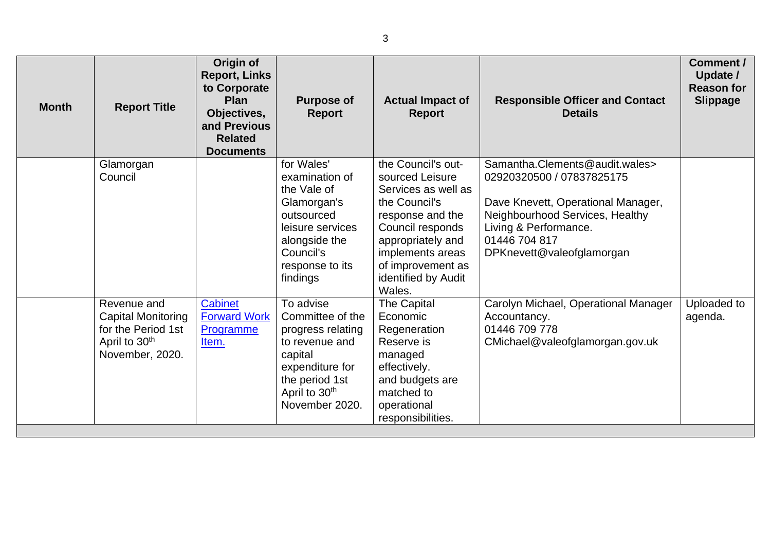| <b>Month</b> | <b>Report Title</b>                                                                                            | Origin of<br><b>Report, Links</b><br>to Corporate<br>Plan<br>Objectives,<br>and Previous<br><b>Related</b><br><b>Documents</b> | <b>Purpose of</b><br><b>Report</b>                                                                                                                                  | <b>Actual Impact of</b><br><b>Report</b>                                                                                                                                                                             | <b>Responsible Officer and Contact</b><br><b>Details</b>                                                                                                                                                    | Comment /<br>Update /<br><b>Reason for</b><br><b>Slippage</b> |
|--------------|----------------------------------------------------------------------------------------------------------------|--------------------------------------------------------------------------------------------------------------------------------|---------------------------------------------------------------------------------------------------------------------------------------------------------------------|----------------------------------------------------------------------------------------------------------------------------------------------------------------------------------------------------------------------|-------------------------------------------------------------------------------------------------------------------------------------------------------------------------------------------------------------|---------------------------------------------------------------|
|              | Glamorgan<br>Council                                                                                           |                                                                                                                                | for Wales'<br>examination of<br>the Vale of<br>Glamorgan's<br>outsourced<br>leisure services<br>alongside the<br>Council's<br>response to its<br>findings           | the Council's out-<br>sourced Leisure<br>Services as well as<br>the Council's<br>response and the<br>Council responds<br>appropriately and<br>implements areas<br>of improvement as<br>identified by Audit<br>Wales. | Samantha.Clements@audit.wales><br>02920320500 / 07837825175<br>Dave Knevett, Operational Manager,<br>Neighbourhood Services, Healthy<br>Living & Performance.<br>01446 704 817<br>DPKnevett@valeofglamorgan |                                                               |
|              | Revenue and<br><b>Capital Monitoring</b><br>for the Period 1st<br>April to 30 <sup>th</sup><br>November, 2020. | Cabinet<br><b>Forward Work</b><br>Programme<br>Item.                                                                           | To advise<br>Committee of the<br>progress relating<br>to revenue and<br>capital<br>expenditure for<br>the period 1st<br>April to 30 <sup>th</sup><br>November 2020. | <b>The Capital</b><br>Economic<br>Regeneration<br>Reserve is<br>managed<br>effectively.<br>and budgets are<br>matched to<br>operational<br>responsibilities.                                                         | Carolyn Michael, Operational Manager<br>Accountancy.<br>01446 709 778<br>CMichael@valeofglamorgan.gov.uk                                                                                                    | Uploaded to<br>agenda.                                        |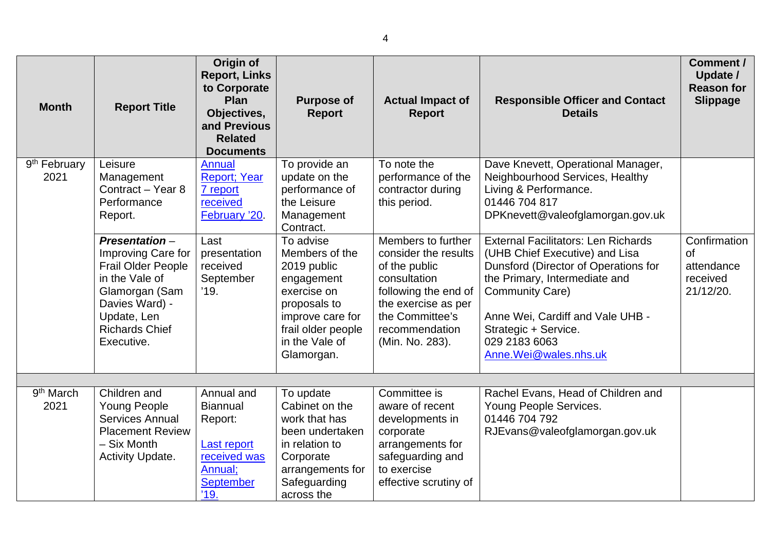| <b>Month</b>                     | <b>Report Title</b>                                                                                                                                                          | Origin of<br><b>Report, Links</b><br>to Corporate<br><b>Plan</b><br>Objectives,<br>and Previous<br><b>Related</b><br><b>Documents</b> | <b>Purpose of</b><br><b>Report</b>                                                                                                                                             | <b>Actual Impact of</b><br><b>Report</b>                                                                                                                                           | <b>Responsible Officer and Contact</b><br><b>Details</b>                                                                                                                                                                                                                              | Comment /<br>Update /<br><b>Reason for</b><br><b>Slippage</b>    |
|----------------------------------|------------------------------------------------------------------------------------------------------------------------------------------------------------------------------|---------------------------------------------------------------------------------------------------------------------------------------|--------------------------------------------------------------------------------------------------------------------------------------------------------------------------------|------------------------------------------------------------------------------------------------------------------------------------------------------------------------------------|---------------------------------------------------------------------------------------------------------------------------------------------------------------------------------------------------------------------------------------------------------------------------------------|------------------------------------------------------------------|
| 9 <sup>th</sup> February<br>2021 | Leisure<br>Management<br>Contract - Year 8<br>Performance<br>Report.                                                                                                         | <b>Annual</b><br><b>Report</b> ; Year<br>7 report<br>received<br>February '20.                                                        | To provide an<br>update on the<br>performance of<br>the Leisure<br>Management                                                                                                  | To note the<br>performance of the<br>contractor during<br>this period.                                                                                                             | Dave Knevett, Operational Manager,<br>Neighbourhood Services, Healthy<br>Living & Performance.<br>01446 704 817<br>DPKnevett@valeofglamorgan.gov.uk                                                                                                                                   |                                                                  |
|                                  | Presentation-<br>Improving Care for<br><b>Frail Older People</b><br>in the Vale of<br>Glamorgan (Sam<br>Davies Ward) -<br>Update, Len<br><b>Richards Chief</b><br>Executive. | Last<br>presentation<br>received<br>September<br>'19.                                                                                 | Contract.<br>To advise<br>Members of the<br>2019 public<br>engagement<br>exercise on<br>proposals to<br>improve care for<br>frail older people<br>in the Vale of<br>Glamorgan. | Members to further<br>consider the results<br>of the public<br>consultation<br>following the end of<br>the exercise as per<br>the Committee's<br>recommendation<br>(Min. No. 283). | <b>External Facilitators: Len Richards</b><br>(UHB Chief Executive) and Lisa<br>Dunsford (Director of Operations for<br>the Primary, Intermediate and<br><b>Community Care)</b><br>Anne Wei, Cardiff and Vale UHB -<br>Strategic + Service.<br>029 2183 6063<br>Anne.Wei@wales.nhs.uk | Confirmation<br><b>of</b><br>attendance<br>received<br>21/12/20. |
| 9 <sup>th</sup> March<br>2021    | Children and<br><b>Young People</b><br>Services Annual<br><b>Placement Review</b><br>- Six Month<br><b>Activity Update.</b>                                                  | Annual and<br><b>Biannual</b><br>Report:<br>Last report<br>received was<br>Annual;<br><b>September</b><br>'19.                        | To update<br>Cabinet on the<br>work that has<br>been undertaken<br>in relation to<br>Corporate<br>arrangements for<br>Safeguarding<br>across the                               | Committee is<br>aware of recent<br>developments in<br>corporate<br>arrangements for<br>safeguarding and<br>to exercise<br>effective scrutiny of                                    | Rachel Evans, Head of Children and<br>Young People Services.<br>01446 704 792<br>RJEvans@valeofglamorgan.gov.uk                                                                                                                                                                       |                                                                  |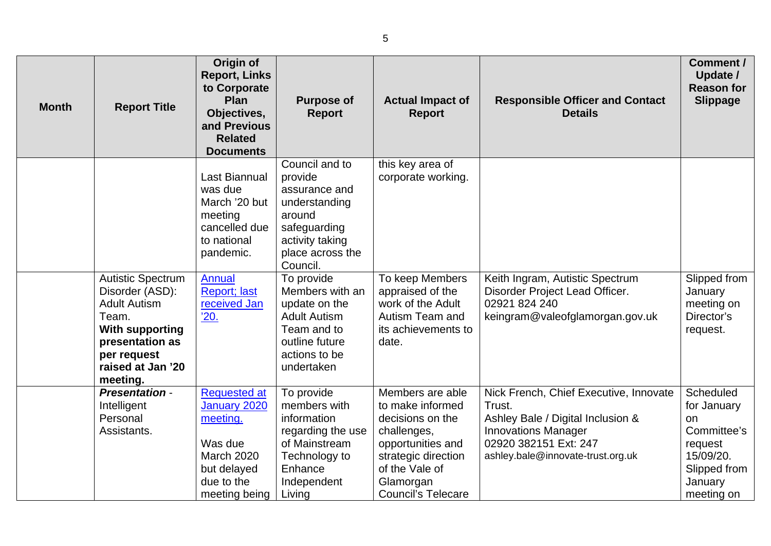| <b>Month</b> | <b>Report Title</b>                                                                                                                                                      | Origin of<br><b>Report, Links</b><br>to Corporate<br>Plan<br>Objectives,<br>and Previous<br><b>Related</b><br><b>Documents</b> | <b>Purpose of</b><br><b>Report</b>                                                                                                       | <b>Actual Impact of</b><br><b>Report</b>                                                                                                                                        | <b>Responsible Officer and Contact</b><br><b>Details</b>                                                                                                                          | Comment /<br>Update /<br><b>Reason for</b><br><b>Slippage</b>                                                  |
|--------------|--------------------------------------------------------------------------------------------------------------------------------------------------------------------------|--------------------------------------------------------------------------------------------------------------------------------|------------------------------------------------------------------------------------------------------------------------------------------|---------------------------------------------------------------------------------------------------------------------------------------------------------------------------------|-----------------------------------------------------------------------------------------------------------------------------------------------------------------------------------|----------------------------------------------------------------------------------------------------------------|
|              |                                                                                                                                                                          | <b>Last Biannual</b><br>was due<br>March '20 but<br>meeting<br>cancelled due<br>to national<br>pandemic.                       | Council and to<br>provide<br>assurance and<br>understanding<br>around<br>safeguarding<br>activity taking<br>place across the<br>Council. | this key area of<br>corporate working.                                                                                                                                          |                                                                                                                                                                                   |                                                                                                                |
|              | <b>Autistic Spectrum</b><br>Disorder (ASD):<br><b>Adult Autism</b><br>Team.<br><b>With supporting</b><br>presentation as<br>per request<br>raised at Jan '20<br>meeting. | <b>Annual</b><br><b>Report; last</b><br>received Jan<br><u>'20.</u>                                                            | To provide<br>Members with an<br>update on the<br><b>Adult Autism</b><br>Team and to<br>outline future<br>actions to be<br>undertaken    | To keep Members<br>appraised of the<br>work of the Adult<br>Autism Team and<br>its achievements to<br>date.                                                                     | Keith Ingram, Autistic Spectrum<br>Disorder Project Lead Officer.<br>02921 824 240<br>keingram@valeofglamorgan.gov.uk                                                             | Slipped from<br>January<br>meeting on<br>Director's<br>request.                                                |
|              | <b>Presentation -</b><br>Intelligent<br>Personal<br>Assistants.                                                                                                          | <b>Requested at</b><br>January 2020<br>meeting.<br>Was due<br><b>March 2020</b><br>but delayed<br>due to the<br>meeting being  | To provide<br>members with<br>information<br>regarding the use<br>of Mainstream<br>Technology to<br>Enhance<br>Independent<br>Living     | Members are able<br>to make informed<br>decisions on the<br>challenges,<br>opportunities and<br>strategic direction<br>of the Vale of<br>Glamorgan<br><b>Council's Telecare</b> | Nick French, Chief Executive, Innovate<br>Trust.<br>Ashley Bale / Digital Inclusion &<br><b>Innovations Manager</b><br>02920 382151 Ext: 247<br>ashley.bale@innovate-trust.org.uk | Scheduled<br>for January<br>on<br>Committee's<br>request<br>15/09/20.<br>Slipped from<br>January<br>meeting on |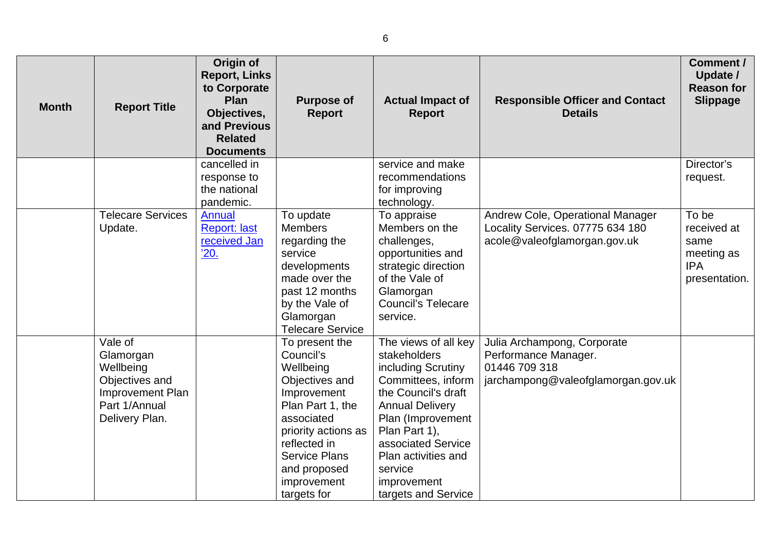| <b>Month</b> | <b>Report Title</b>                       | Origin of<br><b>Report, Links</b><br>to Corporate<br>Plan<br>Objectives,<br>and Previous<br><b>Related</b><br><b>Documents</b> | <b>Purpose of</b><br><b>Report</b> | <b>Actual Impact of</b><br><b>Report</b>  | <b>Responsible Officer and Contact</b><br><b>Details</b>             | Comment /<br>Update /<br><b>Reason for</b><br><b>Slippage</b> |
|--------------|-------------------------------------------|--------------------------------------------------------------------------------------------------------------------------------|------------------------------------|-------------------------------------------|----------------------------------------------------------------------|---------------------------------------------------------------|
|              |                                           | cancelled in                                                                                                                   |                                    | service and make                          |                                                                      | Director's                                                    |
|              |                                           | response to                                                                                                                    |                                    | recommendations                           |                                                                      | request.                                                      |
|              |                                           | the national                                                                                                                   |                                    | for improving                             |                                                                      |                                                               |
|              | <b>Telecare Services</b>                  | pandemic.                                                                                                                      |                                    | technology.                               |                                                                      | To be                                                         |
|              | Update.                                   | Annual<br><b>Report: last</b>                                                                                                  | To update<br><b>Members</b>        | To appraise<br>Members on the             | Andrew Cole, Operational Manager<br>Locality Services. 07775 634 180 | received at                                                   |
|              |                                           | received Jan                                                                                                                   | regarding the                      | challenges,                               | acole@valeofglamorgan.gov.uk                                         | same                                                          |
|              |                                           | '20.                                                                                                                           | service                            | opportunities and                         |                                                                      | meeting as                                                    |
|              |                                           |                                                                                                                                | developments                       | strategic direction                       |                                                                      | <b>IPA</b>                                                    |
|              |                                           |                                                                                                                                | made over the                      | of the Vale of                            |                                                                      | presentation.                                                 |
|              |                                           |                                                                                                                                | past 12 months                     | Glamorgan                                 |                                                                      |                                                               |
|              |                                           |                                                                                                                                | by the Vale of                     | <b>Council's Telecare</b>                 |                                                                      |                                                               |
|              |                                           |                                                                                                                                | Glamorgan                          | service.                                  |                                                                      |                                                               |
|              |                                           |                                                                                                                                | <b>Telecare Service</b>            |                                           |                                                                      |                                                               |
|              | Vale of                                   |                                                                                                                                | To present the                     | The views of all key                      | Julia Archampong, Corporate                                          |                                                               |
|              | Glamorgan                                 |                                                                                                                                | Council's                          | stakeholders                              | Performance Manager.                                                 |                                                               |
|              | Wellbeing                                 |                                                                                                                                | Wellbeing                          | including Scrutiny                        | 01446 709 318                                                        |                                                               |
|              | Objectives and<br><b>Improvement Plan</b> |                                                                                                                                | Objectives and<br>Improvement      | Committees, inform<br>the Council's draft | jarchampong@valeofglamorgan.gov.uk                                   |                                                               |
|              | Part 1/Annual                             |                                                                                                                                | Plan Part 1, the                   | <b>Annual Delivery</b>                    |                                                                      |                                                               |
|              | Delivery Plan.                            |                                                                                                                                | associated                         | Plan (Improvement                         |                                                                      |                                                               |
|              |                                           |                                                                                                                                | priority actions as                | Plan Part 1),                             |                                                                      |                                                               |
|              |                                           |                                                                                                                                | reflected in                       | associated Service                        |                                                                      |                                                               |
|              |                                           |                                                                                                                                | <b>Service Plans</b>               | Plan activities and                       |                                                                      |                                                               |
|              |                                           |                                                                                                                                | and proposed                       | service                                   |                                                                      |                                                               |
|              |                                           |                                                                                                                                | improvement                        | improvement                               |                                                                      |                                                               |
|              |                                           |                                                                                                                                | targets for                        | targets and Service                       |                                                                      |                                                               |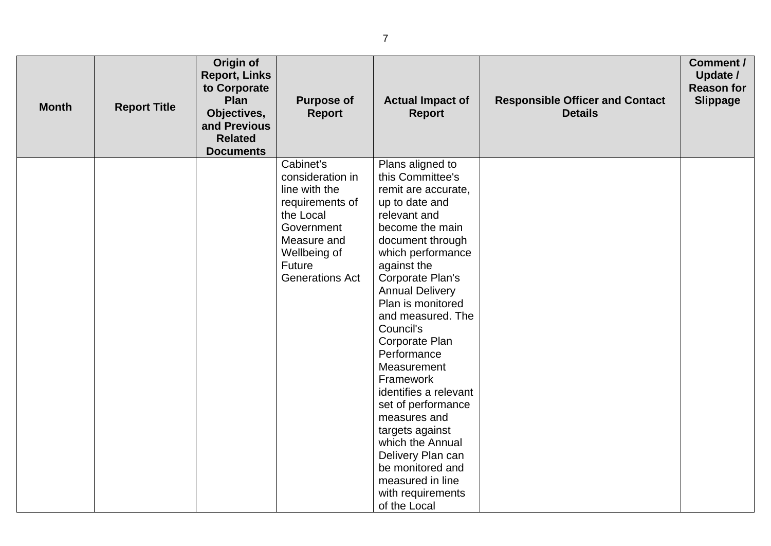| <b>Month</b> | <b>Report Title</b> | Origin of<br><b>Report, Links</b><br>to Corporate<br>Plan<br>Objectives,<br>and Previous<br><b>Related</b><br><b>Documents</b> | <b>Purpose of</b><br><b>Report</b>                                                                                                                              | <b>Actual Impact of</b><br><b>Report</b>                                                                                                                                                                                                                                                                                                                                                                                                                                                                                                           | <b>Responsible Officer and Contact</b><br><b>Details</b> | Comment /<br>Update /<br><b>Reason for</b><br><b>Slippage</b> |
|--------------|---------------------|--------------------------------------------------------------------------------------------------------------------------------|-----------------------------------------------------------------------------------------------------------------------------------------------------------------|----------------------------------------------------------------------------------------------------------------------------------------------------------------------------------------------------------------------------------------------------------------------------------------------------------------------------------------------------------------------------------------------------------------------------------------------------------------------------------------------------------------------------------------------------|----------------------------------------------------------|---------------------------------------------------------------|
|              |                     |                                                                                                                                | Cabinet's<br>consideration in<br>line with the<br>requirements of<br>the Local<br>Government<br>Measure and<br>Wellbeing of<br>Future<br><b>Generations Act</b> | Plans aligned to<br>this Committee's<br>remit are accurate,<br>up to date and<br>relevant and<br>become the main<br>document through<br>which performance<br>against the<br>Corporate Plan's<br><b>Annual Delivery</b><br>Plan is monitored<br>and measured. The<br>Council's<br>Corporate Plan<br>Performance<br>Measurement<br>Framework<br>identifies a relevant<br>set of performance<br>measures and<br>targets against<br>which the Annual<br>Delivery Plan can<br>be monitored and<br>measured in line<br>with requirements<br>of the Local |                                                          |                                                               |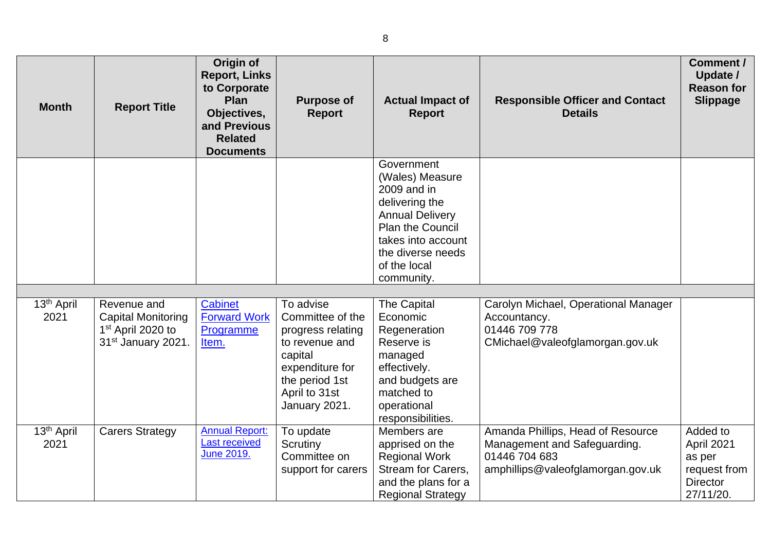| <b>Month</b>                   | <b>Report Title</b>                                                                                         | Origin of<br><b>Report, Links</b><br>to Corporate<br>Plan<br>Objectives,<br>and Previous<br><b>Related</b><br><b>Documents</b> | <b>Purpose of</b><br><b>Report</b>                                                                                                                     | <b>Actual Impact of</b><br><b>Report</b>                                                                                                                                                     | <b>Responsible Officer and Contact</b><br><b>Details</b>                                                                | Comment /<br>Update /<br><b>Reason for</b><br><b>Slippage</b>                    |
|--------------------------------|-------------------------------------------------------------------------------------------------------------|--------------------------------------------------------------------------------------------------------------------------------|--------------------------------------------------------------------------------------------------------------------------------------------------------|----------------------------------------------------------------------------------------------------------------------------------------------------------------------------------------------|-------------------------------------------------------------------------------------------------------------------------|----------------------------------------------------------------------------------|
|                                |                                                                                                             |                                                                                                                                |                                                                                                                                                        | Government<br>(Wales) Measure<br>2009 and in<br>delivering the<br><b>Annual Delivery</b><br><b>Plan the Council</b><br>takes into account<br>the diverse needs<br>of the local<br>community. |                                                                                                                         |                                                                                  |
|                                |                                                                                                             |                                                                                                                                |                                                                                                                                                        |                                                                                                                                                                                              |                                                                                                                         |                                                                                  |
| 13 <sup>th</sup> April<br>2021 | Revenue and<br><b>Capital Monitoring</b><br>1 <sup>st</sup> April 2020 to<br>31 <sup>st</sup> January 2021. | Cabinet<br><b>Forward Work</b><br>Programme<br>Item.                                                                           | To advise<br>Committee of the<br>progress relating<br>to revenue and<br>capital<br>expenditure for<br>the period 1st<br>April to 31st<br>January 2021. | <b>The Capital</b><br>Economic<br>Regeneration<br>Reserve is<br>managed<br>effectively.<br>and budgets are<br>matched to<br>operational<br>responsibilities.                                 | Carolyn Michael, Operational Manager<br>Accountancy.<br>01446 709 778<br>CMichael@valeofglamorgan.gov.uk                |                                                                                  |
| 13 <sup>th</sup> April<br>2021 | <b>Carers Strategy</b>                                                                                      | <b>Annual Report:</b><br>Last received<br>June 2019.                                                                           | To update<br>Scrutiny<br>Committee on<br>support for carers                                                                                            | Members are<br>apprised on the<br><b>Regional Work</b><br><b>Stream for Carers,</b><br>and the plans for a<br><b>Regional Strategy</b>                                                       | Amanda Phillips, Head of Resource<br>Management and Safeguarding.<br>01446 704 683<br>amphillips@valeofglamorgan.gov.uk | Added to<br>April 2021<br>as per<br>request from<br><b>Director</b><br>27/11/20. |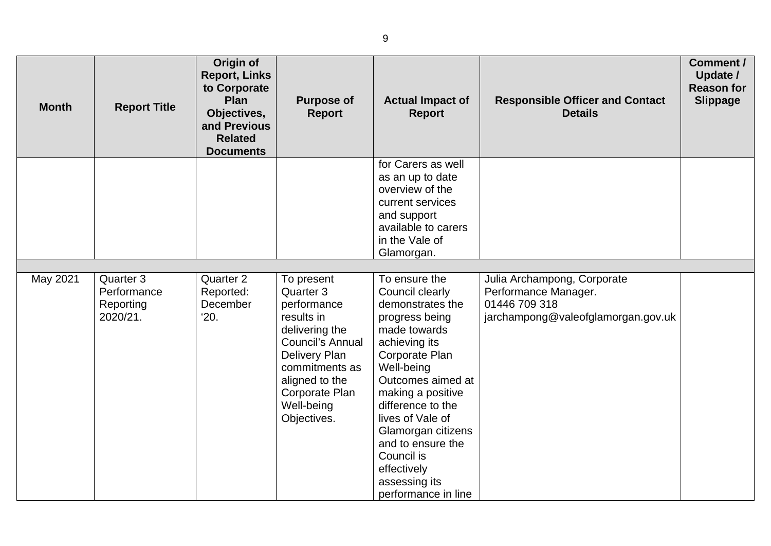| <b>Month</b> | <b>Report Title</b>                               | Origin of<br><b>Report, Links</b><br>to Corporate<br>Plan<br>Objectives,<br>and Previous<br><b>Related</b><br><b>Documents</b> | <b>Purpose of</b><br><b>Report</b>                                                                                                                                                                    | <b>Actual Impact of</b><br><b>Report</b>                                                                                                                                                                                                                                                                                                   | <b>Responsible Officer and Contact</b><br><b>Details</b>                                                   | Comment /<br>Update /<br><b>Reason for</b><br><b>Slippage</b> |
|--------------|---------------------------------------------------|--------------------------------------------------------------------------------------------------------------------------------|-------------------------------------------------------------------------------------------------------------------------------------------------------------------------------------------------------|--------------------------------------------------------------------------------------------------------------------------------------------------------------------------------------------------------------------------------------------------------------------------------------------------------------------------------------------|------------------------------------------------------------------------------------------------------------|---------------------------------------------------------------|
|              |                                                   |                                                                                                                                |                                                                                                                                                                                                       | for Carers as well<br>as an up to date<br>overview of the<br>current services<br>and support<br>available to carers<br>in the Vale of<br>Glamorgan.                                                                                                                                                                                        |                                                                                                            |                                                               |
|              |                                                   |                                                                                                                                |                                                                                                                                                                                                       |                                                                                                                                                                                                                                                                                                                                            |                                                                                                            |                                                               |
| May 2021     | Quarter 3<br>Performance<br>Reporting<br>2020/21. | Quarter 2<br>Reported:<br>December<br>'20.                                                                                     | To present<br>Quarter 3<br>performance<br>results in<br>delivering the<br><b>Council's Annual</b><br>Delivery Plan<br>commitments as<br>aligned to the<br>Corporate Plan<br>Well-being<br>Objectives. | To ensure the<br>Council clearly<br>demonstrates the<br>progress being<br>made towards<br>achieving its<br>Corporate Plan<br>Well-being<br>Outcomes aimed at<br>making a positive<br>difference to the<br>lives of Vale of<br>Glamorgan citizens<br>and to ensure the<br>Council is<br>effectively<br>assessing its<br>performance in line | Julia Archampong, Corporate<br>Performance Manager.<br>01446 709 318<br>jarchampong@valeofglamorgan.gov.uk |                                                               |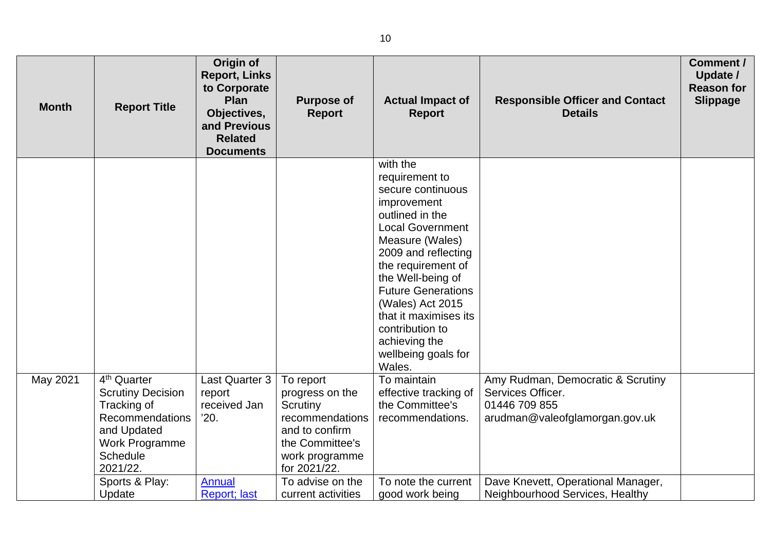| <b>Month</b> | <b>Report Title</b>                                                                                                                                          | Origin of<br><b>Report, Links</b><br>to Corporate<br>Plan<br>Objectives,<br>and Previous<br><b>Related</b><br><b>Documents</b> | <b>Purpose of</b><br><b>Report</b>                                                                                                 | <b>Actual Impact of</b><br><b>Report</b>                                                                                                                                                                                                                                                                                                         | <b>Responsible Officer and Contact</b><br><b>Details</b>                                                  | Comment /<br>Update /<br><b>Reason for</b><br><b>Slippage</b> |
|--------------|--------------------------------------------------------------------------------------------------------------------------------------------------------------|--------------------------------------------------------------------------------------------------------------------------------|------------------------------------------------------------------------------------------------------------------------------------|--------------------------------------------------------------------------------------------------------------------------------------------------------------------------------------------------------------------------------------------------------------------------------------------------------------------------------------------------|-----------------------------------------------------------------------------------------------------------|---------------------------------------------------------------|
|              |                                                                                                                                                              |                                                                                                                                |                                                                                                                                    | with the<br>requirement to<br>secure continuous<br>improvement<br>outlined in the<br><b>Local Government</b><br>Measure (Wales)<br>2009 and reflecting<br>the requirement of<br>the Well-being of<br><b>Future Generations</b><br>(Wales) Act 2015<br>that it maximises its<br>contribution to<br>achieving the<br>wellbeing goals for<br>Wales. |                                                                                                           |                                                               |
| May 2021     | 4 <sup>th</sup> Quarter<br><b>Scrutiny Decision</b><br>Tracking of<br>Recommendations<br>and Updated<br><b>Work Programme</b><br><b>Schedule</b><br>2021/22. | Last Quarter 3<br>report<br>received Jan<br>'20.                                                                               | To report<br>progress on the<br>Scrutiny<br>recommendations<br>and to confirm<br>the Committee's<br>work programme<br>for 2021/22. | To maintain<br>effective tracking of<br>the Committee's<br>recommendations.                                                                                                                                                                                                                                                                      | Amy Rudman, Democratic & Scrutiny<br>Services Officer.<br>01446 709 855<br>arudman@valeofglamorgan.gov.uk |                                                               |
|              | Sports & Play:<br>Update                                                                                                                                     | <b>Annual</b><br><b>Report</b> ; last                                                                                          | To advise on the<br>current activities                                                                                             | To note the current<br>good work being                                                                                                                                                                                                                                                                                                           | Dave Knevett, Operational Manager,<br>Neighbourhood Services, Healthy                                     |                                                               |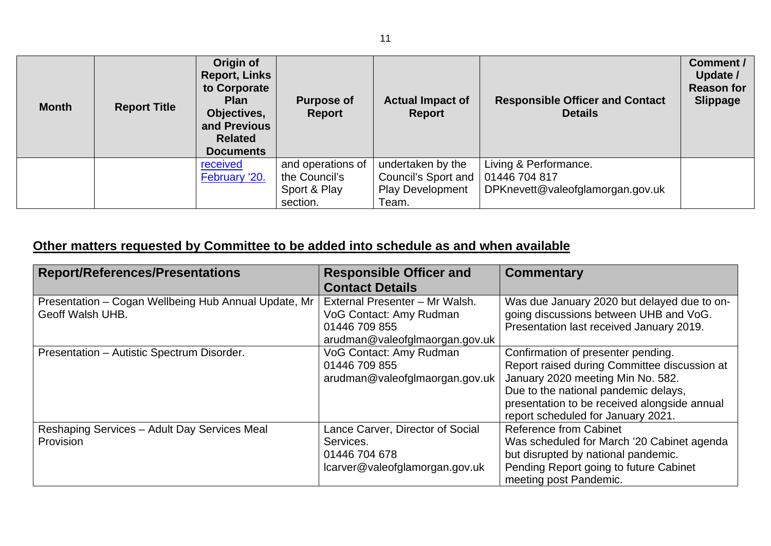| <b>Month</b> | <b>Report Title</b> | Origin of<br><b>Report, Links</b><br>to Corporate<br><b>Plan</b><br>Objectives,<br>and Previous<br><b>Related</b><br><b>Documents</b> | <b>Purpose of</b><br>Report        | <b>Actual Impact of</b><br>Report        | <b>Responsible Officer and Contact</b><br><b>Details</b> | <b>Comment /</b><br>Update /<br><b>Reason for</b><br><b>Slippage</b> |
|--------------|---------------------|---------------------------------------------------------------------------------------------------------------------------------------|------------------------------------|------------------------------------------|----------------------------------------------------------|----------------------------------------------------------------------|
|              |                     | received<br>February '20.                                                                                                             | and operations of<br>the Council's | undertaken by the<br>Council's Sport and | Living & Performance.<br>01446 704 817                   |                                                                      |
|              |                     |                                                                                                                                       | Sport & Play                       | <b>Play Development</b>                  | DPKnevett@valeofglamorgan.gov.uk                         |                                                                      |
|              |                     |                                                                                                                                       | section.                           | Team.                                    |                                                          |                                                                      |

## **Other matters requested by Committee to be added into schedule as and when available**

| <b>Report/References/Presentations</b>               | <b>Responsible Officer and</b>   | <b>Commentary</b>                            |
|------------------------------------------------------|----------------------------------|----------------------------------------------|
|                                                      | <b>Contact Details</b>           |                                              |
| Presentation - Cogan Wellbeing Hub Annual Update, Mr | External Presenter - Mr Walsh.   | Was due January 2020 but delayed due to on-  |
| Geoff Walsh UHB.                                     | VoG Contact: Amy Rudman          | going discussions between UHB and VoG.       |
|                                                      | 01446 709 855                    | Presentation last received January 2019.     |
|                                                      | arudman@valeofglmaorgan.gov.uk   |                                              |
| Presentation - Autistic Spectrum Disorder.           | VoG Contact: Amy Rudman          | Confirmation of presenter pending.           |
|                                                      | 01446 709 855                    | Report raised during Committee discussion at |
|                                                      | arudman@valeofglmaorgan.gov.uk   | January 2020 meeting Min No. 582.            |
|                                                      |                                  | Due to the national pandemic delays,         |
|                                                      |                                  | presentation to be received alongside annual |
|                                                      |                                  | report scheduled for January 2021.           |
| Reshaping Services - Adult Day Services Meal         | Lance Carver, Director of Social | Reference from Cabinet                       |
| Provision                                            | Services.                        | Was scheduled for March '20 Cabinet agenda   |
|                                                      | 01446 704 678                    | but disrupted by national pandemic.          |
|                                                      | lcarver@valeofglamorgan.gov.uk   | Pending Report going to future Cabinet       |
|                                                      |                                  | meeting post Pandemic.                       |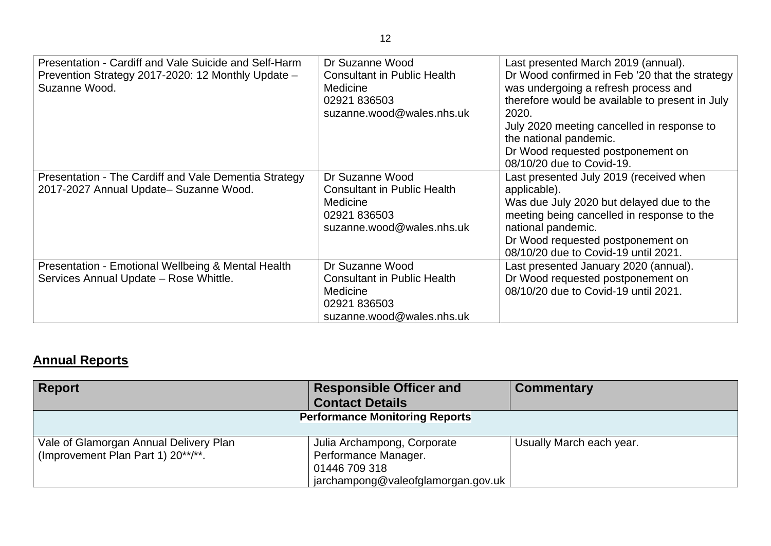| Presentation - Cardiff and Vale Suicide and Self-Harm<br>Prevention Strategy 2017-2020: 12 Monthly Update -<br>Suzanne Wood. | Dr Suzanne Wood<br><b>Consultant in Public Health</b><br><b>Medicine</b><br>02921 836503<br>suzanne.wood@wales.nhs.uk | Last presented March 2019 (annual).<br>Dr Wood confirmed in Feb '20 that the strategy<br>was undergoing a refresh process and<br>therefore would be available to present in July<br>2020.<br>July 2020 meeting cancelled in response to<br>the national pandemic.<br>Dr Wood requested postponement on<br>08/10/20 due to Covid-19. |
|------------------------------------------------------------------------------------------------------------------------------|-----------------------------------------------------------------------------------------------------------------------|-------------------------------------------------------------------------------------------------------------------------------------------------------------------------------------------------------------------------------------------------------------------------------------------------------------------------------------|
| Presentation - The Cardiff and Vale Dementia Strategy<br>2017-2027 Annual Update- Suzanne Wood.                              | Dr Suzanne Wood<br><b>Consultant in Public Health</b><br>Medicine<br>02921 836503<br>suzanne.wood@wales.nhs.uk        | Last presented July 2019 (received when<br>applicable).<br>Was due July 2020 but delayed due to the<br>meeting being cancelled in response to the<br>national pandemic.<br>Dr Wood requested postponement on<br>08/10/20 due to Covid-19 until 2021.                                                                                |
| Presentation - Emotional Wellbeing & Mental Health<br>Services Annual Update - Rose Whittle.                                 | Dr Suzanne Wood<br><b>Consultant in Public Health</b><br><b>Medicine</b><br>02921 836503<br>suzanne.wood@wales.nhs.uk | Last presented January 2020 (annual).<br>Dr Wood requested postponement on<br>08/10/20 due to Covid-19 until 2021.                                                                                                                                                                                                                  |

## **Annual Reports**

| <b>Report</b>                          | <b>Responsible Officer and</b>        | <b>Commentary</b>        |
|----------------------------------------|---------------------------------------|--------------------------|
|                                        | <b>Contact Details</b>                |                          |
|                                        | <b>Performance Monitoring Reports</b> |                          |
|                                        |                                       |                          |
| Vale of Glamorgan Annual Delivery Plan | Julia Archampong, Corporate           | Usually March each year. |
| (Improvement Plan Part 1) 20**/**.     | Performance Manager.                  |                          |
|                                        | 01446 709 318                         |                          |
|                                        | jarchampong@valeofglamorgan.gov.uk    |                          |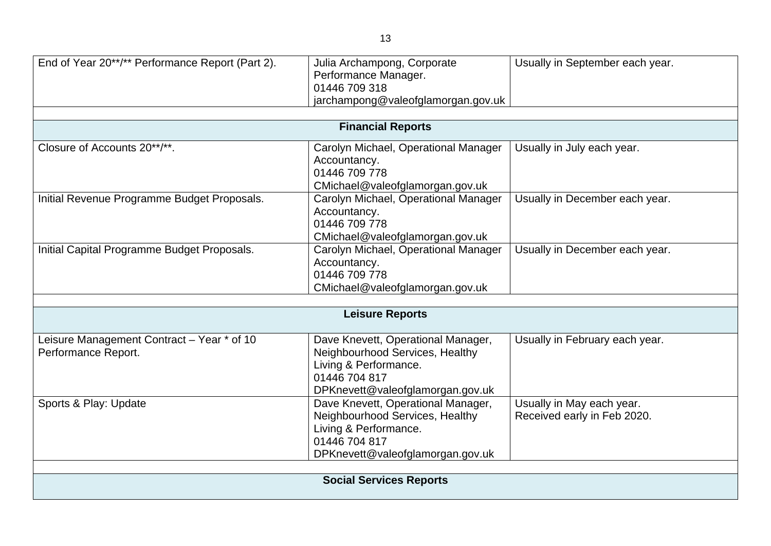|                                      | Usually in September each year.                                                                                                                                                                                                                                                                                                                                                                                                                                                                                                                                                                               |
|--------------------------------------|---------------------------------------------------------------------------------------------------------------------------------------------------------------------------------------------------------------------------------------------------------------------------------------------------------------------------------------------------------------------------------------------------------------------------------------------------------------------------------------------------------------------------------------------------------------------------------------------------------------|
| Performance Manager.                 |                                                                                                                                                                                                                                                                                                                                                                                                                                                                                                                                                                                                               |
| 01446 709 318                        |                                                                                                                                                                                                                                                                                                                                                                                                                                                                                                                                                                                                               |
| jarchampong@valeofglamorgan.gov.uk   |                                                                                                                                                                                                                                                                                                                                                                                                                                                                                                                                                                                                               |
|                                      |                                                                                                                                                                                                                                                                                                                                                                                                                                                                                                                                                                                                               |
|                                      |                                                                                                                                                                                                                                                                                                                                                                                                                                                                                                                                                                                                               |
| Carolyn Michael, Operational Manager | Usually in July each year.                                                                                                                                                                                                                                                                                                                                                                                                                                                                                                                                                                                    |
|                                      |                                                                                                                                                                                                                                                                                                                                                                                                                                                                                                                                                                                                               |
|                                      |                                                                                                                                                                                                                                                                                                                                                                                                                                                                                                                                                                                                               |
|                                      |                                                                                                                                                                                                                                                                                                                                                                                                                                                                                                                                                                                                               |
|                                      | Usually in December each year.                                                                                                                                                                                                                                                                                                                                                                                                                                                                                                                                                                                |
|                                      |                                                                                                                                                                                                                                                                                                                                                                                                                                                                                                                                                                                                               |
|                                      |                                                                                                                                                                                                                                                                                                                                                                                                                                                                                                                                                                                                               |
|                                      | Usually in December each year.                                                                                                                                                                                                                                                                                                                                                                                                                                                                                                                                                                                |
|                                      |                                                                                                                                                                                                                                                                                                                                                                                                                                                                                                                                                                                                               |
| 01446 709 778                        |                                                                                                                                                                                                                                                                                                                                                                                                                                                                                                                                                                                                               |
| CMichael@valeofglamorgan.gov.uk      |                                                                                                                                                                                                                                                                                                                                                                                                                                                                                                                                                                                                               |
|                                      |                                                                                                                                                                                                                                                                                                                                                                                                                                                                                                                                                                                                               |
|                                      |                                                                                                                                                                                                                                                                                                                                                                                                                                                                                                                                                                                                               |
|                                      | Usually in February each year.                                                                                                                                                                                                                                                                                                                                                                                                                                                                                                                                                                                |
| Neighbourhood Services, Healthy      |                                                                                                                                                                                                                                                                                                                                                                                                                                                                                                                                                                                                               |
| Living & Performance.                |                                                                                                                                                                                                                                                                                                                                                                                                                                                                                                                                                                                                               |
|                                      |                                                                                                                                                                                                                                                                                                                                                                                                                                                                                                                                                                                                               |
|                                      |                                                                                                                                                                                                                                                                                                                                                                                                                                                                                                                                                                                                               |
|                                      | Usually in May each year.                                                                                                                                                                                                                                                                                                                                                                                                                                                                                                                                                                                     |
|                                      | Received early in Feb 2020.                                                                                                                                                                                                                                                                                                                                                                                                                                                                                                                                                                                   |
|                                      |                                                                                                                                                                                                                                                                                                                                                                                                                                                                                                                                                                                                               |
|                                      |                                                                                                                                                                                                                                                                                                                                                                                                                                                                                                                                                                                                               |
|                                      |                                                                                                                                                                                                                                                                                                                                                                                                                                                                                                                                                                                                               |
|                                      |                                                                                                                                                                                                                                                                                                                                                                                                                                                                                                                                                                                                               |
|                                      |                                                                                                                                                                                                                                                                                                                                                                                                                                                                                                                                                                                                               |
|                                      | Julia Archampong, Corporate<br><b>Financial Reports</b><br>Accountancy.<br>01446 709 778<br>CMichael@valeofglamorgan.gov.uk<br>Carolyn Michael, Operational Manager<br>Accountancy.<br>01446 709 778<br>CMichael@valeofglamorgan.gov.uk<br>Carolyn Michael, Operational Manager<br>Accountancy.<br><b>Leisure Reports</b><br>Dave Knevett, Operational Manager,<br>01446 704 817<br>DPKnevett@valeofglamorgan.gov.uk<br>Dave Knevett, Operational Manager,<br>Neighbourhood Services, Healthy<br>Living & Performance.<br>01446 704 817<br>DPKnevett@valeofglamorgan.gov.uk<br><b>Social Services Reports</b> |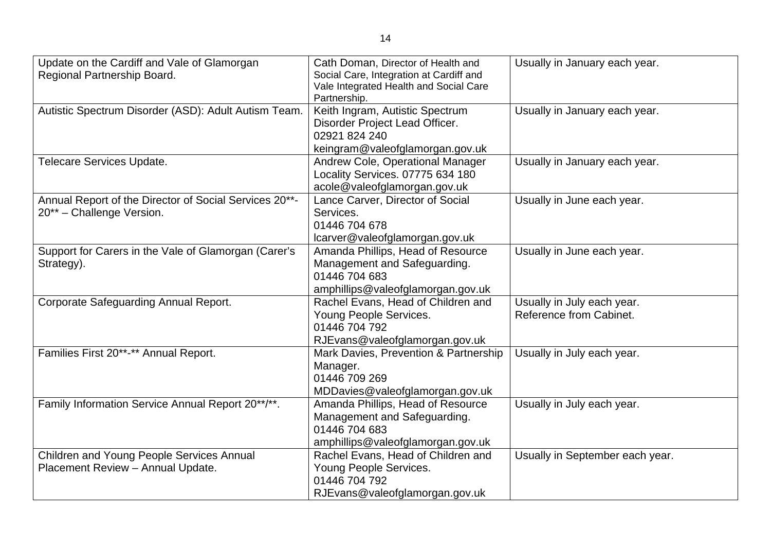| Update on the Cardiff and Vale of Glamorgan<br>Regional Partnership Board.          | Cath Doman, Director of Health and<br>Social Care, Integration at Cardiff and<br>Vale Integrated Health and Social Care<br>Partnership. | Usually in January each year.                         |
|-------------------------------------------------------------------------------------|-----------------------------------------------------------------------------------------------------------------------------------------|-------------------------------------------------------|
| Autistic Spectrum Disorder (ASD): Adult Autism Team.                                | Keith Ingram, Autistic Spectrum<br>Disorder Project Lead Officer.<br>02921 824 240<br>keingram@valeofglamorgan.gov.uk                   | Usually in January each year.                         |
| Telecare Services Update.                                                           | Andrew Cole, Operational Manager<br>Locality Services. 07775 634 180<br>acole@valeofglamorgan.gov.uk                                    | Usually in January each year.                         |
| Annual Report of the Director of Social Services 20**-<br>20** - Challenge Version. | Lance Carver, Director of Social<br>Services.<br>01446 704 678<br>lcarver@valeofglamorgan.gov.uk                                        | Usually in June each year.                            |
| Support for Carers in the Vale of Glamorgan (Carer's<br>Strategy).                  | Amanda Phillips, Head of Resource<br>Management and Safeguarding.<br>01446 704 683<br>amphillips@valeofglamorgan.gov.uk                 | Usually in June each year.                            |
| Corporate Safeguarding Annual Report.                                               | Rachel Evans, Head of Children and<br>Young People Services.<br>01446 704 792<br>RJEvans@valeofglamorgan.gov.uk                         | Usually in July each year.<br>Reference from Cabinet. |
| Families First 20**-** Annual Report.                                               | Mark Davies, Prevention & Partnership<br>Manager.<br>01446 709 269<br>MDDavies@valeofglamorgan.gov.uk                                   | Usually in July each year.                            |
| Family Information Service Annual Report 20**/**.                                   | Amanda Phillips, Head of Resource<br>Management and Safeguarding.<br>01446 704 683<br>amphillips@valeofglamorgan.gov.uk                 | Usually in July each year.                            |
| Children and Young People Services Annual<br>Placement Review - Annual Update.      | Rachel Evans, Head of Children and<br>Young People Services.<br>01446 704 792<br>RJEvans@valeofglamorgan.gov.uk                         | Usually in September each year.                       |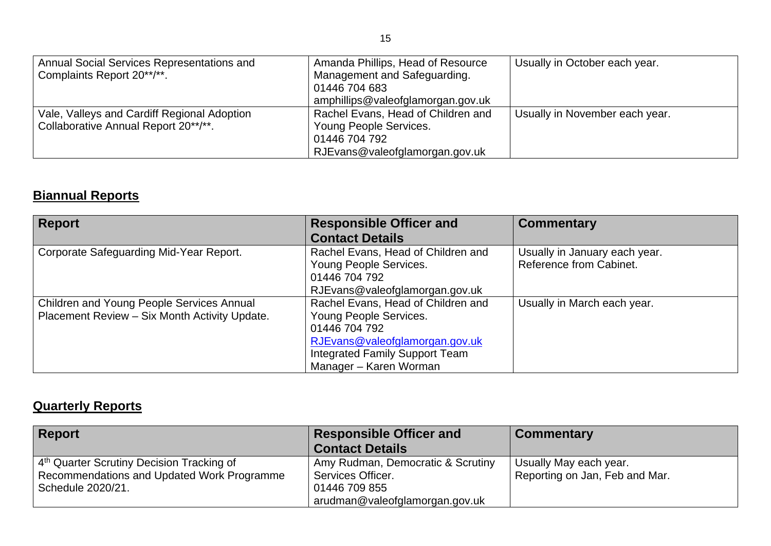| Annual Social Services Representations and<br>Complaints Report 20**/**.            | Amanda Phillips, Head of Resource<br>Management and Safeguarding.<br>01446 704 683                                                                   | Usually in October each year.  |
|-------------------------------------------------------------------------------------|------------------------------------------------------------------------------------------------------------------------------------------------------|--------------------------------|
| Vale, Valleys and Cardiff Regional Adoption<br>Collaborative Annual Report 20**/**. | amphillips@valeofglamorgan.gov.uk<br>Rachel Evans, Head of Children and<br>Young People Services.<br>01446 704 792<br>RJEvans@valeofglamorgan.gov.uk | Usually in November each year. |

## **Biannual Reports**

| Report                                           | <b>Responsible Officer and</b>     | <b>Commentary</b>             |
|--------------------------------------------------|------------------------------------|-------------------------------|
|                                                  | <b>Contact Details</b>             |                               |
| Corporate Safeguarding Mid-Year Report.          | Rachel Evans, Head of Children and | Usually in January each year. |
|                                                  | Young People Services.             | Reference from Cabinet.       |
|                                                  | 01446 704 792                      |                               |
|                                                  | RJEvans@valeofglamorgan.gov.uk     |                               |
| <b>Children and Young People Services Annual</b> | Rachel Evans, Head of Children and | Usually in March each year.   |
| Placement Review - Six Month Activity Update.    | Young People Services.             |                               |
|                                                  | 01446 704 792                      |                               |
|                                                  | RJEvans@valeofglamorgan.gov.uk     |                               |
|                                                  | Integrated Family Support Team     |                               |
|                                                  | Manager – Karen Worman             |                               |

## **Quarterly Reports**

| <b>Report</b>                                                                                       | <b>Responsible Officer and</b><br><b>Contact Details</b> | <b>Commentary</b>                                        |
|-----------------------------------------------------------------------------------------------------|----------------------------------------------------------|----------------------------------------------------------|
| 4 <sup>th</sup> Quarter Scrutiny Decision Tracking of<br>Recommendations and Updated Work Programme | Amy Rudman, Democratic & Scrutiny<br>Services Officer.   | Usually May each year.<br>Reporting on Jan, Feb and Mar. |
| Schedule 2020/21.                                                                                   | 01446 709 855<br>arudman@valeofglamorgan.gov.uk          |                                                          |